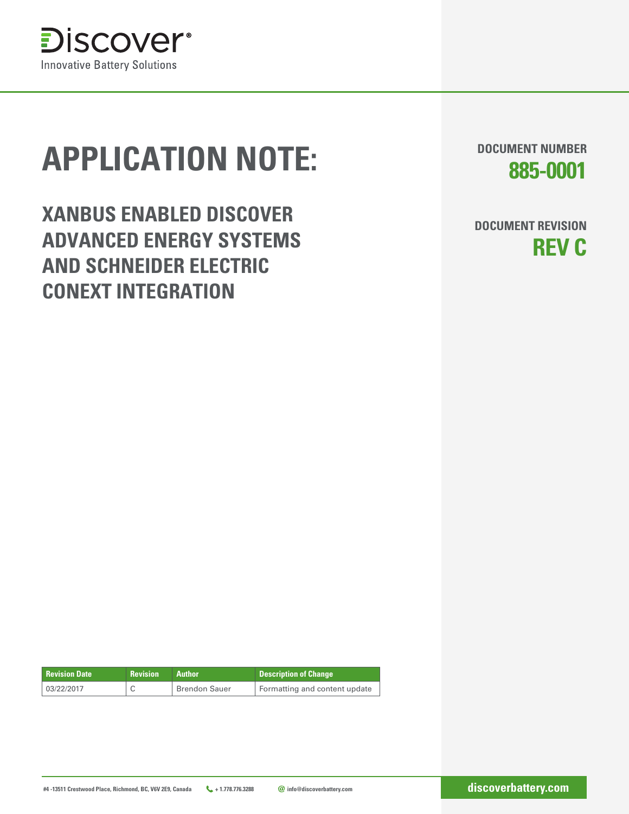

# **APPLICATION NOTE:**

**XANBUS ENABLED DISCOVER ADVANCED ENERGY SYSTEMS AND SCHNEIDER ELECTRIC CONEXT INTEGRATION**

**DOCUMENT NUMBER 885-0001**

**DOCUMENT REVISION REV C**

| <b>Revision Date</b> |                      |                               |
|----------------------|----------------------|-------------------------------|
| 03/22/2017           | <b>Brendon Sauer</b> | Formatting and content update |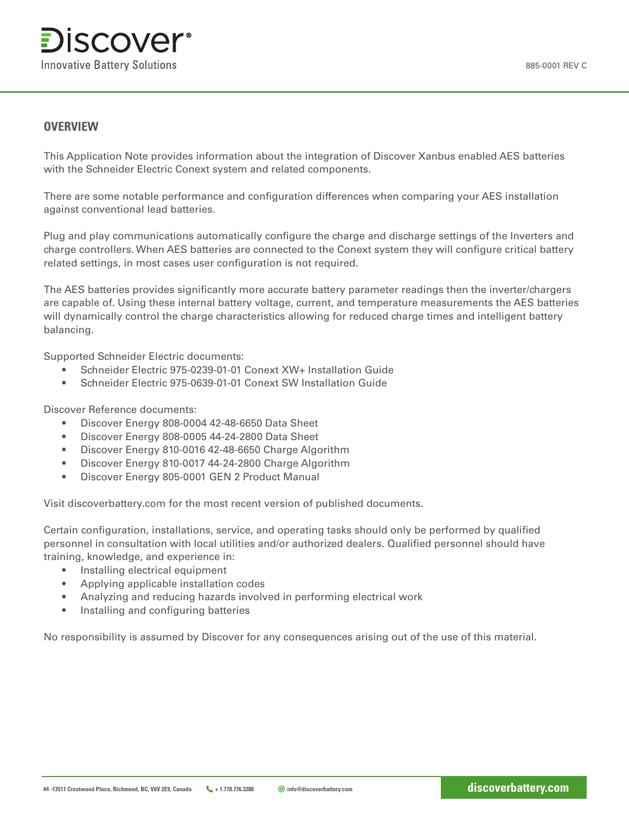

#### **OVERVIEW**

This Application Note provides information about the integration of Discover Xanbus enabled AES batteries with the Schneider Electric Conext system and related components.

There are some notable performance and configuration differences when comparing your AES installation against conventional lead batteries.

Plug and play communications automatically configure the charge and discharge settings of the Inverters and charge controllers. When AES batteries are connected to the Conext system they will configure critical battery related settings, in most cases user configuration is not required.

The AES batteries provides significantly more accurate battery parameter readings then the inverter/chargers are capable of. Using these internal battery voltage, current, and temperature measurements the AES batteries will dynamically control the charge characteristics allowing for reduced charge times and intelligent battery balancing.

Supported Schneider Electric documents:

- Schneider Electric 975-0239-01-01 Conext XW+ Installation Guide
- Schneider Electric 975-0639-01-01 Conext SW Installation Guide

Discover Reference documents:

- Discover Energy 808-0004 42-48-6650 Data Sheet
- Discover Energy 808-0005 44-24-2800 Data Sheet
- Discover Energy 810-0016 42-48-6650 Charge Algorithm
- Discover Energy 810-0017 44-24-2800 Charge Algorithm
- Discover Energy 805-0001 GEN 2 Product Manual

Visit discoverbattery.com for the most recent version of published documents.

Certain configuration, installations, service, and operating tasks should only be performed by qualified personnel in consultation with local utilities and/or authorized dealers. Qualified personnel should have training, knowledge, and experience in:

- Installing electrical equipment
- Applying applicable installation codes
- Analyzing and reducing hazards involved in performing electrical work
- Installing and configuring batteries

No responsibility is assumed by Discover for any consequences arising out of the use of this material.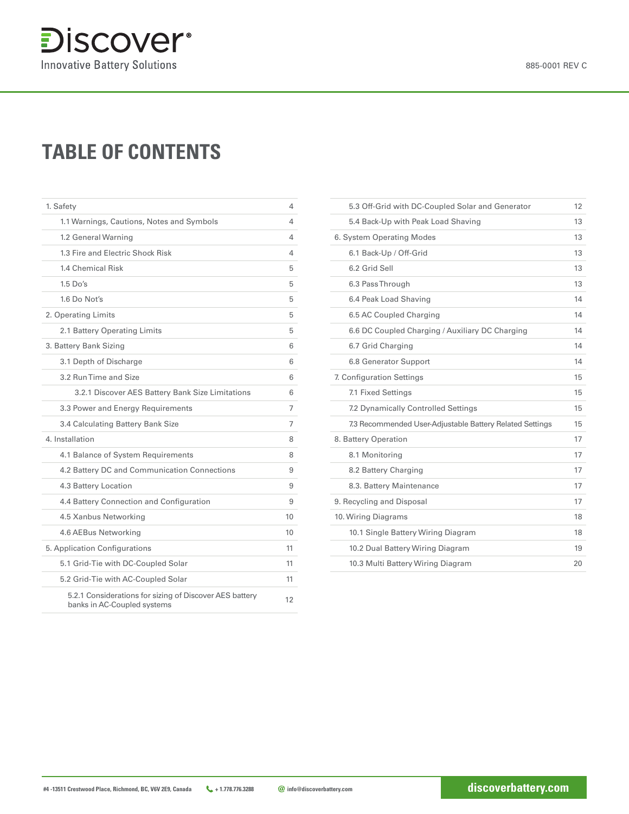## **TABLE OF CONTENTS**

| 1. Safety                                                                              | 4  |
|----------------------------------------------------------------------------------------|----|
| 1.1 Warnings, Cautions, Notes and Symbols                                              | 4  |
| 1.2 General Warning                                                                    | 4  |
| 1.3 Fire and Electric Shock Risk                                                       | 4  |
| <b>1.4 Chemical Risk</b>                                                               | 5  |
| $1.5$ Do's                                                                             | 5  |
| 1.6 Do Not's                                                                           | 5  |
| 2. Operating Limits                                                                    | 5  |
| 2.1 Battery Operating Limits                                                           | 5  |
| 3. Battery Bank Sizing                                                                 | 6  |
| 3.1 Depth of Discharge                                                                 | 6  |
| 3.2 Run Time and Size                                                                  | 6  |
| 3.2.1 Discover AES Battery Bank Size Limitations                                       | 6  |
| 3.3 Power and Energy Requirements                                                      | 7  |
| 3.4 Calculating Battery Bank Size                                                      | 7  |
| 4. Installation                                                                        | 8  |
| 4.1 Balance of System Requirements                                                     | 8  |
| 4.2 Battery DC and Communication Connections                                           | 9  |
| <b>4.3 Battery Location</b>                                                            | 9  |
| 4.4 Battery Connection and Configuration                                               | 9  |
| 4.5 Xanbus Networking                                                                  | 10 |
| 4.6 AEBus Networking                                                                   | 10 |
| 5. Application Configurations                                                          | 11 |
| 5.1 Grid-Tie with DC-Coupled Solar                                                     | 11 |
| 5.2 Grid-Tie with AC-Coupled Solar                                                     | 11 |
| 5.2.1 Considerations for sizing of Discover AES battery<br>banks in AC-Coupled systems | 12 |

| 5.3 Off-Grid with DC-Coupled Solar and Generator         | 12 |
|----------------------------------------------------------|----|
| 5.4 Back-Up with Peak Load Shaving                       | 13 |
| 6. System Operating Modes                                | 13 |
| 6.1 Back-Up / Off-Grid                                   | 13 |
| 6.2 Grid Sell                                            | 13 |
| 6.3 Pass Through                                         | 13 |
| 6.4 Peak Load Shaving                                    | 14 |
| 6.5 AC Coupled Charging                                  | 14 |
| 6.6 DC Coupled Charging / Auxiliary DC Charging          | 14 |
| 6.7 Grid Charging                                        | 14 |
| <b>6.8 Generator Support</b>                             | 14 |
| 7. Configuration Settings                                | 15 |
| 7.1 Fixed Settings                                       | 15 |
| 7.2 Dynamically Controlled Settings                      | 15 |
| 7.3 Recommended User-Adjustable Battery Related Settings | 15 |
| 8. Battery Operation                                     | 17 |
| 8.1 Monitoring                                           | 17 |
| 8.2 Battery Charging                                     | 17 |
| 8.3. Battery Maintenance                                 | 17 |
| 9. Recycling and Disposal                                | 17 |
| 10. Wiring Diagrams                                      | 18 |
| 10.1 Single Battery Wiring Diagram                       | 18 |
| 10.2 Dual Battery Wiring Diagram                         | 19 |
| 10.3 Multi Battery Wiring Diagram                        | 20 |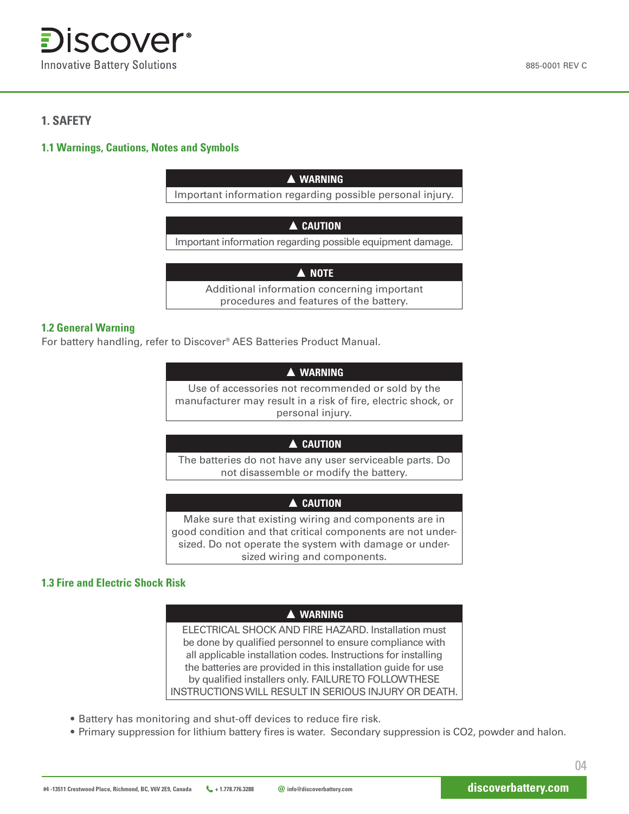

#### **1. SAFETY**

#### **1.1 Warnings, Cautions, Notes and Symbols**

| A WARNING                                                                              |  |  |  |
|----------------------------------------------------------------------------------------|--|--|--|
| Important information regarding possible personal injury.                              |  |  |  |
|                                                                                        |  |  |  |
| A CAUTION                                                                              |  |  |  |
| Important information regarding possible equipment damage.                             |  |  |  |
|                                                                                        |  |  |  |
| A NOTE                                                                                 |  |  |  |
| Additional information concerning important<br>procedures and features of the battery. |  |  |  |

#### **1.2 General Warning**

For battery handling, refer to Discover® AES Batteries Product Manual.

#### **▲ WARNING**

Use of accessories not recommended or sold by the manufacturer may result in a risk of fire, electric shock, or personal injury.

#### **▲ CAUTION**

The batteries do not have any user serviceable parts. Do not disassemble or modify the battery.

#### **▲ CAUTION**

Make sure that existing wiring and components are in good condition and that critical components are not undersized. Do not operate the system with damage or undersized wiring and components.

#### **1.3 Fire and Electric Shock Risk**

#### **▲ WARNING**

ELECTRICAL SHOCK AND FIRE HAZARD. Installation must be done by qualified personnel to ensure compliance with all applicable installation codes. Instructions for installing the batteries are provided in this installation guide for use by qualified installers only. FAILURE TO FOLLOW THESE INSTRUCTIONS WILL RESULT IN SERIOUS INJURY OR DEATH.

- Battery has monitoring and shut-off devices to reduce fire risk.
- Primary suppression for lithium battery fires is water. Secondary suppression is CO2, powder and halon.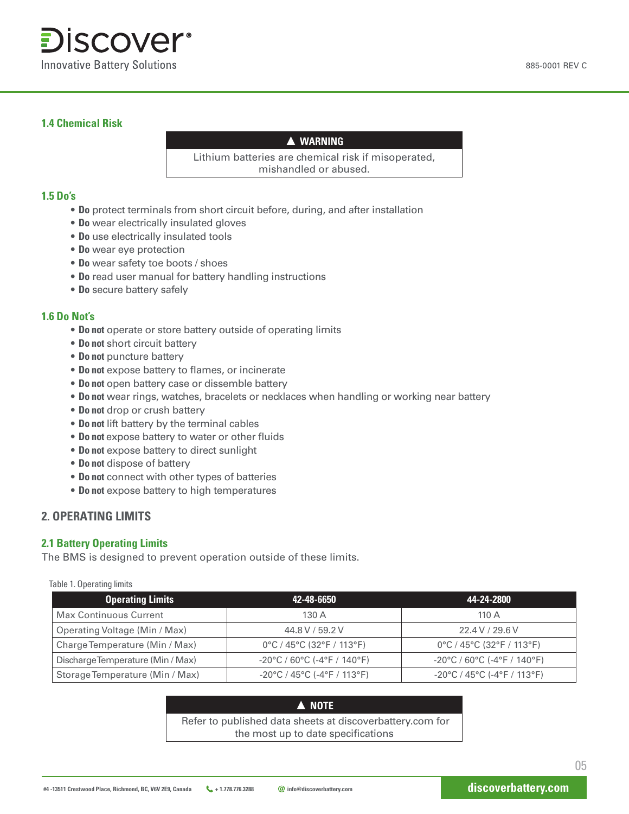

#### **1.4 Chemical Risk**

#### **▲ WARNING**

Lithium batteries are chemical risk if misoperated, mishandled or abused.

#### **1.5 Do's**

- **Do** protect terminals from short circuit before, during, and after installation
- **Do** wear electrically insulated gloves
- **Do** use electrically insulated tools
- **Do** wear eye protection
- **Do** wear safety toe boots / shoes
- **Do** read user manual for battery handling instructions
- **Do** secure battery safely

#### **1.6 Do Not's**

- **Do not** operate or store battery outside of operating limits
- **Do not** short circuit battery
- **Do not** puncture battery
- **Do not** expose battery to flames, or incinerate
- **Do not** open battery case or dissemble battery
- **Do not** wear rings, watches, bracelets or necklaces when handling or working near battery
- **Do not** drop or crush battery
- **Do not** lift battery by the terminal cables
- **Do not** expose battery to water or other fluids
- **Do not** expose battery to direct sunlight
- **Do not** dispose of battery
- **Do not** connect with other types of batteries
- **Do not** expose battery to high temperatures

#### **2. OPERATING LIMITS**

#### **2.1 Battery Operating Limits**

The BMS is designed to prevent operation outside of these limits.

Table 1. Operating limits

| <b>Operating Limits</b>              | 42-48-6650                                                             | 44-24-2800                                                             |
|--------------------------------------|------------------------------------------------------------------------|------------------------------------------------------------------------|
| <b>Max Continuous Current</b>        | 130 A                                                                  | 110 $\Delta$                                                           |
| <b>Operating Voltage (Min / Max)</b> | 44.8 V / 59.2 V                                                        | 22.4 V / 29.6 V                                                        |
| Charge Temperature (Min / Max)       | 0°C / 45°C (32°F / 113°F)                                              | 0°C / 45°C (32°F / 113°F)                                              |
| Discharge Temperature (Min / Max)    | $-20^{\circ}$ C / 60 $^{\circ}$ C (-4 $^{\circ}$ F / 140 $^{\circ}$ F) | $-20^{\circ}$ C / 60 $^{\circ}$ C (-4 $^{\circ}$ F / 140 $^{\circ}$ F) |
| Storage Temperature (Min / Max)      | $-20^{\circ}$ C / 45 $^{\circ}$ C (-4 $^{\circ}$ F / 113 $^{\circ}$ F) | $-20^{\circ}$ C / 45 $^{\circ}$ C (-4 $^{\circ}$ F / 113 $^{\circ}$ F) |

**▲ NOTE** Refer to published data sheets at discoverbattery.com for the most up to date specifications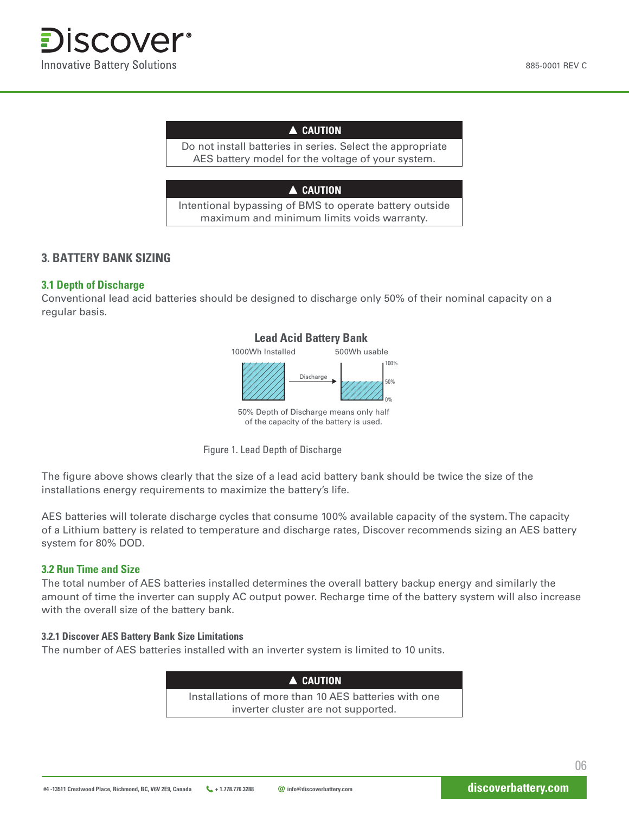#### **▲ CAUTION**

Do not install batteries in series. Select the appropriate AES battery model for the voltage of your system.

#### **▲ CAUTION**

Intentional bypassing of BMS to operate battery outside maximum and minimum limits voids warranty.

#### **3. BATTERY BANK SIZING**

#### **3.1 Depth of Discharge**

Conventional lead acid batteries should be designed to discharge only 50% of their nominal capacity on a regular basis.

## **Lead Acid Battery Bank**



50% Depth of Discharge means only half of the capacity of the battery is used.

Figure 1. Lead Depth of Discharge

The figure above shows clearly that the size of a lead acid battery bank should be twice the size of the installations energy requirements to maximize the battery's life.

AES batteries will tolerate discharge cycles that consume 100% available capacity of the system. The capacity of a Lithium battery is related to temperature and discharge rates, Discover recommends sizing an AES battery system for 80% DOD.

#### **3.2 Run Time and Size**

The total number of AES batteries installed determines the overall battery backup energy and similarly the amount of time the inverter can supply AC output power. Recharge time of the battery system will also increase with the overall size of the battery bank.

#### **3.2.1 Discover AES Battery Bank Size Limitations**

The number of AES batteries installed with an inverter system is limited to 10 units.

| A CAUTION                                            |  |
|------------------------------------------------------|--|
| Installations of more than 10 AES batteries with one |  |
| inverter cluster are not supported.                  |  |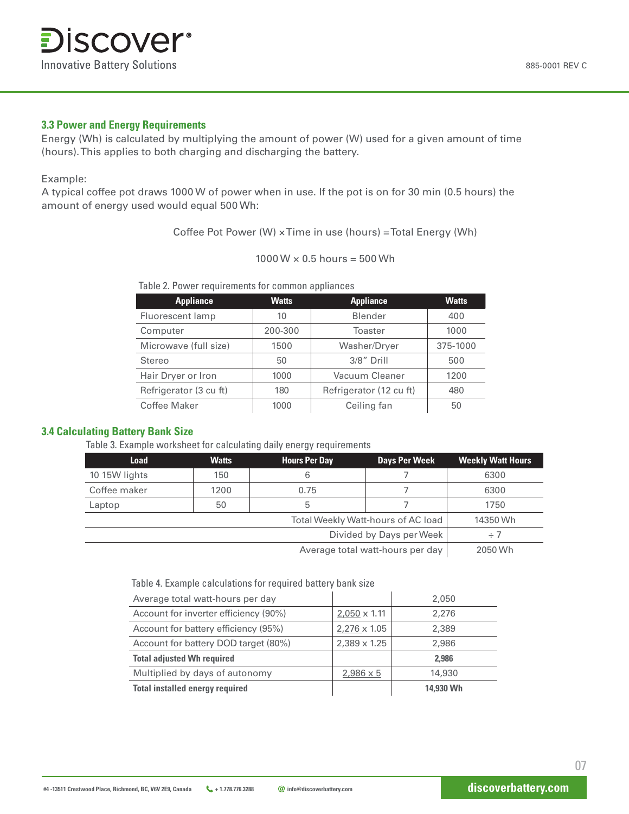#### **3.3 Power and Energy Requirements**

Energy (Wh) is calculated by multiplying the amount of power (W) used for a given amount of time (hours). This applies to both charging and discharging the battery.

#### Example:

A typical coffee pot draws 1000 W of power when in use. If the pot is on for 30 min (0.5 hours) the amount of energy used would equal 500 Wh:

Coffee Pot Power (W) × Time in use (hours) = Total Energy (Wh)

| $1000 \,\mathrm{W} \times 0.5 \,\mathrm{hours} = 500 \,\mathrm{Wh}$ |  |  |
|---------------------------------------------------------------------|--|--|
|---------------------------------------------------------------------|--|--|

Table 2. Power requirements for common appliances

| <b>Appliance</b>        | <b>Watts</b> | <b>Appliance</b>        | <b>Watts</b> |
|-------------------------|--------------|-------------------------|--------------|
| <b>Fluorescent lamp</b> | 10           | <b>Blender</b>          | 400          |
| Computer                | 200-300      | <b>Toaster</b>          | 1000         |
| Microwave (full size)   | 1500         | <b>Washer/Dryer</b>     | 375-1000     |
| <b>Stereo</b>           | 50           | 3/8" Drill              | 500          |
| Hair Dryer or Iron      | 1000         | <b>Vacuum Cleaner</b>   | 1200         |
| Refrigerator (3 cu ft)  | 180          | Refrigerator (12 cu ft) | 480          |
| <b>Coffee Maker</b>     | 1000         | Ceiling fan             | 50           |

#### **3.4 Calculating Battery Bank Size**

Table 3. Example worksheet for calculating daily energy requirements

| <b>Load</b>                      | <b>Watts</b> | <b>Hours Per Day</b> | <b>Days Per Week</b> | <b>Weekly Watt Hours</b> |
|----------------------------------|--------------|----------------------|----------------------|--------------------------|
| 10 15W lights                    | 150          | 6                    |                      | 6300                     |
| Coffee maker                     | 1200         | 0.75                 |                      | 6300                     |
| Laptop                           | 50           | 5                    |                      | 1750                     |
|                                  | 14350 Wh     |                      |                      |                          |
| Divided by Days per Week         |              |                      |                      | $+7$                     |
| Average total watt-hours per day |              |                      | 2050 Wh              |                          |

Table 4. Example calculations for required battery bank size

| Average total watt-hours per day       |                     | 2,050     |
|----------------------------------------|---------------------|-----------|
| Account for inverter efficiency (90%)  | $2,050 \times 1.11$ | 2.276     |
| Account for battery efficiency (95%)   | $2,276 \times 1.05$ | 2.389     |
| Account for battery DOD target (80%)   | $2,389 \times 1.25$ | 2.986     |
| <b>Total adjusted Wh required</b>      |                     | 2.986     |
| Multiplied by days of autonomy         | $2,986 \times 5$    | 14,930    |
| <b>Total installed energy required</b> |                     | 14.930 Wh |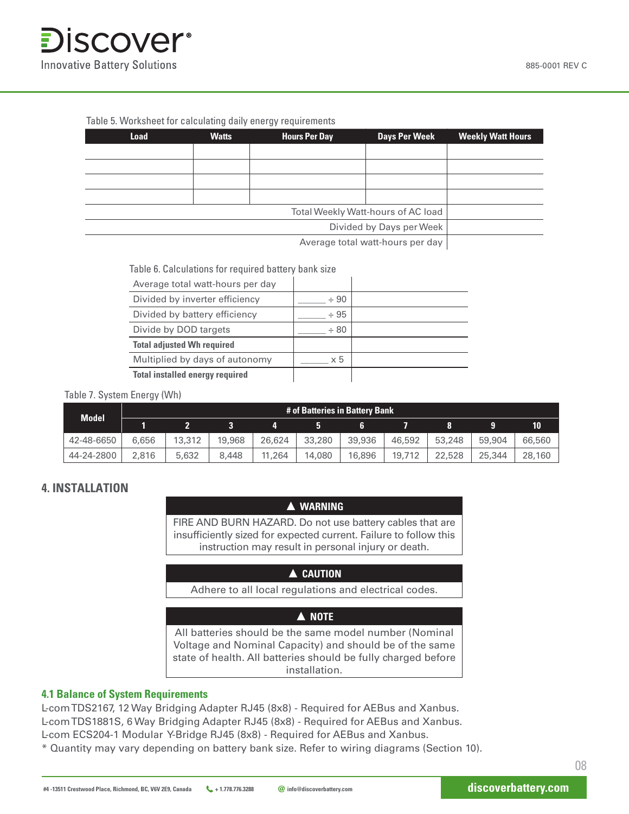

#### Table 5. Worksheet for calculating daily energy requirements

| <b>Load</b>                      | <b>Watts</b> | <b>Hours Per Day</b> | <b>Days Per Week</b>                      | <b>Weekly Watt Hours</b> |
|----------------------------------|--------------|----------------------|-------------------------------------------|--------------------------|
|                                  |              |                      |                                           |                          |
|                                  |              |                      |                                           |                          |
|                                  |              |                      |                                           |                          |
|                                  |              |                      |                                           |                          |
|                                  |              |                      | <b>Total Weekly Watt-hours of AC load</b> |                          |
| Divided by Days per Week         |              |                      |                                           |                          |
| Average total watt-hours per day |              |                      |                                           |                          |

Table 6. Calculations for required battery bank size

| Average total watt-hours per day       |            |  |
|----------------------------------------|------------|--|
| Divided by inverter efficiency         | $+90$      |  |
| Divided by battery efficiency          | $+95$      |  |
| Divide by DOD targets                  | $+80$      |  |
| <b>Total adjusted Wh required</b>      |            |  |
| Multiplied by days of autonomy         | $\times 5$ |  |
| <b>Total installed energy required</b> |            |  |

#### Table 7. System Energy (Wh)

| <b>Model</b> | # of Batteries in Battery Bank |        |        |        |        |        |        |        |        |        |
|--------------|--------------------------------|--------|--------|--------|--------|--------|--------|--------|--------|--------|
|              |                                |        |        |        |        |        |        |        |        | 10     |
| 42-48-6650   | 6.656                          | 13,312 | 19,968 | 26.624 | 33,280 | 39,936 | 46,592 | 53,248 | 59,904 | 66,560 |
| 44-24-2800   | 2.816                          | 5,632  | 8.448  | 11,264 | 14.080 | 16,896 | 19,712 | 22,528 | 25,344 | 28,160 |

#### **4. INSTALLATION**

#### **▲ WARNING**

FIRE AND BURN HAZARD. Do not use battery cables that are insufficiently sized for expected current. Failure to follow this instruction may result in personal injury or death.

#### **▲ CAUTION**

Adhere to all local regulations and electrical codes.

#### **▲ NOTE**

All batteries should be the same model number (Nominal Voltage and Nominal Capacity) and should be of the same state of health. All batteries should be fully charged before installation.

#### **4.1 Balance of System Requirements**

L-com TDS2167, 12 Way Bridging Adapter RJ45 (8x8) - Required for AEBus and Xanbus. L-com TDS1881S, 6 Way Bridging Adapter RJ45 (8x8) - Required for AEBus and Xanbus. L-com ECS204-1 Modular Y-Bridge RJ45 (8x8) - Required for AEBus and Xanbus.

\* Quantity may vary depending on battery bank size. Refer to wiring diagrams (Section 10).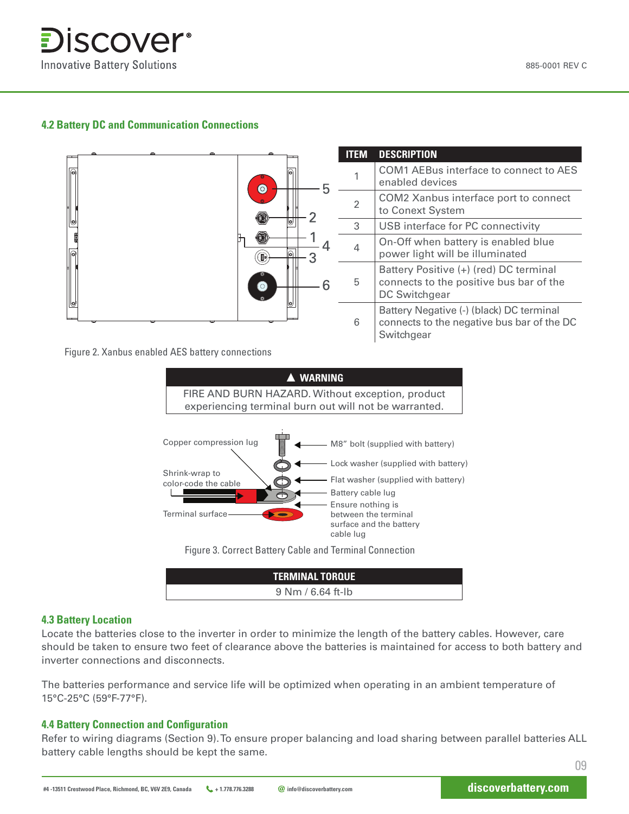

#### **4.2 Battery DC and Communication Connections**



Figure 2. Xanbus enabled AES battery connections



Figure 3. Correct Battery Cable and Terminal Connection

| <b>TERMINAL TORQUE</b> |  |
|------------------------|--|
| $9 Nm / 6.64$ ft-lb    |  |

#### **4.3 Battery Location**

Locate the batteries close to the inverter in order to minimize the length of the battery cables. However, care should be taken to ensure two feet of clearance above the batteries is maintained for access to both battery and inverter connections and disconnects.

The batteries performance and service life will be optimized when operating in an ambient temperature of 15°C-25°C (59°F-77°F).

#### **4.4 Battery Connection and Configuration**

Refer to wiring diagrams (Section 9). To ensure proper balancing and load sharing between parallel batteries ALL battery cable lengths should be kept the same.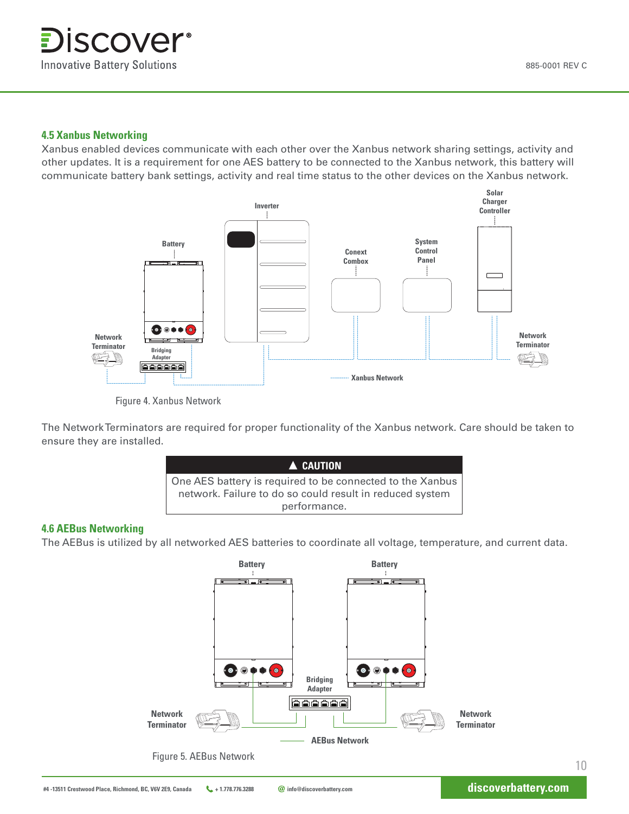#### **4.5 Xanbus Networking**

Xanbus enabled devices communicate with each other over the Xanbus network sharing settings, activity and other updates. It is a requirement for one AES battery to be connected to the Xanbus network, this battery will communicate battery bank settings, activity and real time status to the other devices on the Xanbus network.



Figure 4. Xanbus Network

The Network Terminators are required for proper functionality of the Xanbus network. Care should be taken to ensure they are installed.



#### **4.6 AEBus Networking**

The AEBus is utilized by all networked AES batteries to coordinate all voltage, temperature, and current data.

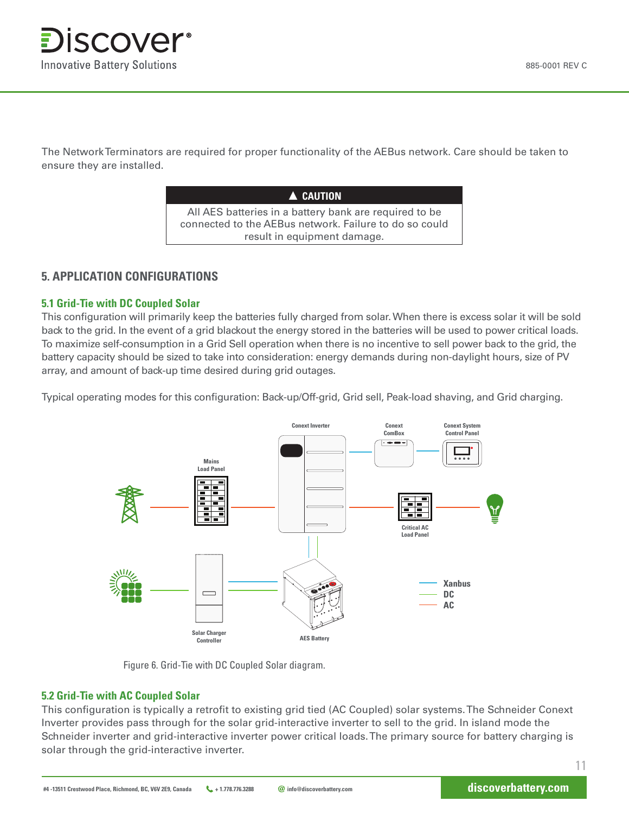The Network Terminators are required for proper functionality of the AEBus network. Care should be taken to ensure they are installed.

| A CAUTION                                              |
|--------------------------------------------------------|
| All AES batteries in a battery bank are required to be |
| connected to the AEBus network. Failure to do so could |
| result in equipment damage.                            |

## **5. APPLICATION CONFIGURATIONS**

#### **5.1 Grid-Tie with DC Coupled Solar**

This configuration will primarily keep the batteries fully charged from solar. When there is excess solar it will be sold back to the grid. In the event of a grid blackout the energy stored in the batteries will be used to power critical loads. To maximize self-consumption in a Grid Sell operation when there is no incentive to sell power back to the grid, the battery capacity should be sized to take into consideration: energy demands during non-daylight hours, size of PV array, and amount of back-up time desired during grid outages.

Typical operating modes for this configuration: Back-up/Off-grid, Grid sell, Peak-load shaving, and Grid charging.



Figure 6. Grid-Tie with DC Coupled Solar diagram.

#### **5.2 Grid-Tie with AC Coupled Solar**

This configuration is typically a retrofit to existing grid tied (AC Coupled) solar systems. The Schneider Conext Inverter provides pass through for the solar grid-interactive inverter to sell to the grid. In island mode the Schneider inverter and grid-interactive inverter power critical loads. The primary source for battery charging is solar through the grid-interactive inverter.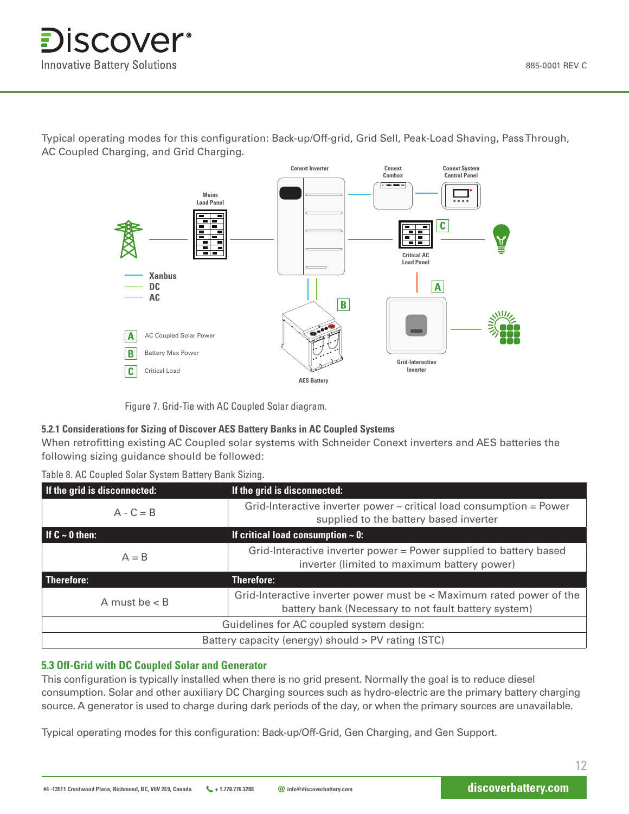

Typical operating modes for this configuration: Back-up/Off-grid, Grid Sell, Peak-Load Shaving, Pass Through, AC Coupled Charging, and Grid Charging**.**



Figure 7. Grid-Tie with AC Coupled Solar diagram.

#### **5.2.1 Considerations for Sizing of Discover AES Battery Banks in AC Coupled Systems**

When retrofitting existing AC Coupled solar systems with Schneider Conext inverters and AES batteries the following sizing guidance should be followed:

| If the grid is disconnected:                       | If the grid is disconnected:                                                                                                 |  |  |  |
|----------------------------------------------------|------------------------------------------------------------------------------------------------------------------------------|--|--|--|
| $A - C = B$                                        | Grid-Interactive inverter power – critical load consumption = Power<br>supplied to the battery based inverter                |  |  |  |
| $\vert$ If C $\sim$ 0 then:                        | If critical load consumption $\sim$ 0:                                                                                       |  |  |  |
| $A = B$                                            | Grid-Interactive inverter power = Power supplied to battery based<br>inverter (limited to maximum battery power)             |  |  |  |
| <b>Therefore:</b>                                  | <b>Therefore:</b>                                                                                                            |  |  |  |
| A must be $<$ B                                    | Grid-Interactive inverter power must be < Maximum rated power of the<br>battery bank (Necessary to not fault battery system) |  |  |  |
| Guidelines for AC coupled system design:           |                                                                                                                              |  |  |  |
| Battery capacity (energy) should > PV rating (STC) |                                                                                                                              |  |  |  |

#### **5.3 Off-Grid with DC Coupled Solar and Generator**

This configuration is typically installed when there is no grid present. Normally the goal is to reduce diesel consumption. Solar and other auxiliary DC Charging sources such as hydro-electric are the primary battery charging source. A generator is used to charge during dark periods of the day, or when the primary sources are unavailable.

Typical operating modes for this configuration: Back-up/Off-Grid, Gen Charging, and Gen Support.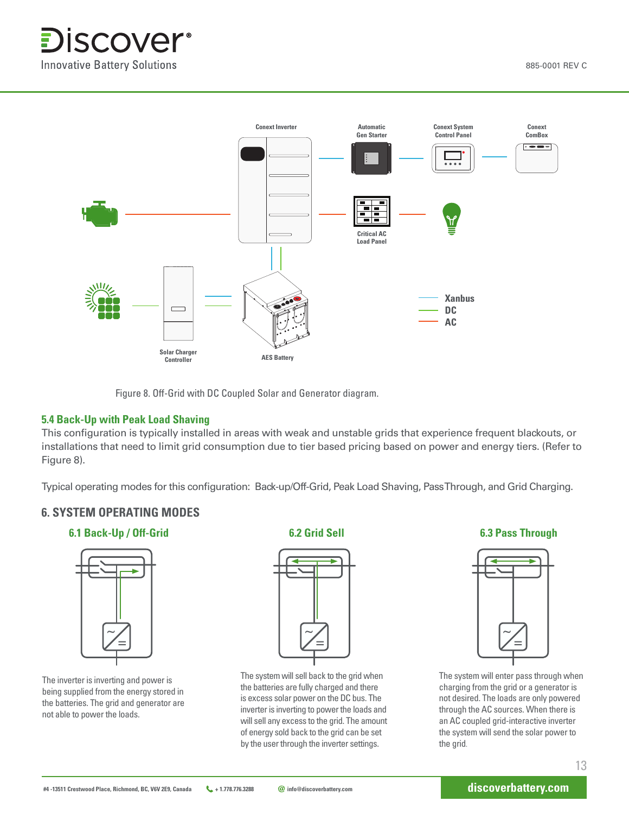

Figure 8. Off-Grid with DC Coupled Solar and Generator diagram.

#### **5.4 Back-Up with Peak Load Shaving**

This configuration is typically installed in areas with weak and unstable grids that experience frequent blackouts, or installations that need to limit grid consumption due to tier based pricing based on power and energy tiers. (Refer to Figure 8).

Typical operating modes for this configuration: Back-up/Off-Grid, Peak Load Shaving, Pass Through, and Grid Charging.

#### **6. SYSTEM OPERATING MODES**

**6.1 Back-Up / Off-Grid**



The inverter is inverting and power is being supplied from the energy stored in the batteries. The grid and generator are not able to power the loads.

**6.2 Grid Sell**



The system will sell back to the grid when the batteries are fully charged and there is excess solar power on the DC bus. The inverter is inverting to power the loads and will sell any excess to the grid. The amount of energy sold back to the grid can be set by the user through the inverter settings.

**6.3 Pass Through** 



The system will enter pass through when charging from the grid or a generator is not desired. The loads are only powered through the AC sources. When there is an AC coupled grid-interactive inverter the system will send the solar power to the grid.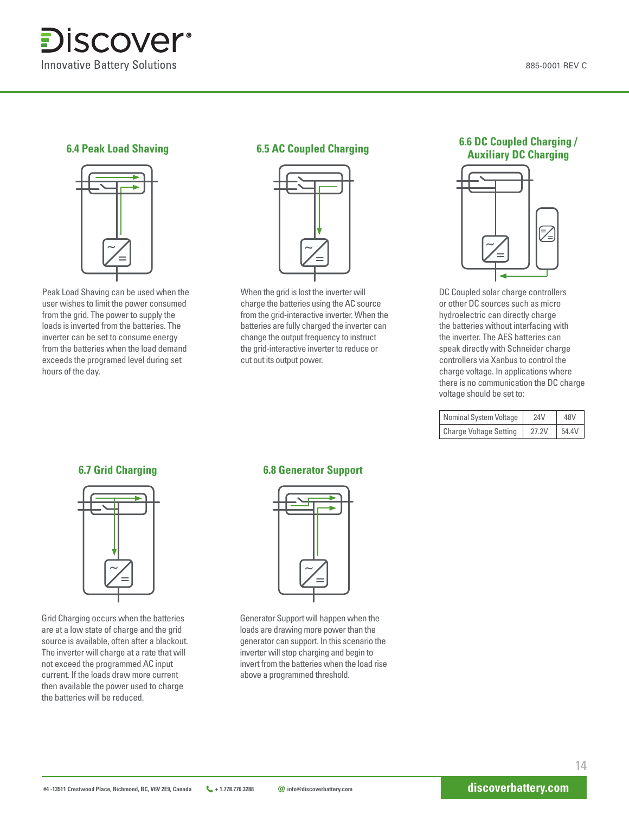



Peak Load Shaving can be used when the user wishes to limit the power consumed from the grid. The power to supply the loads is inverted from the batteries. The inverter can be set to consume energy from the batteries when the load demand exceeds the programed level during set hours of the day.



When the grid is lost the inverter will charge the batteries using the AC source from the grid-interactive inverter. When the batteries are fully charged the inverter can change the output frequency to instruct the grid-interactive inverter to reduce or cut out its output power.

#### **6.4 Peak Load Shaving 6.5 AC Coupled Charging 6.6 DC Coupled Charging / Auxiliary DC Charging**



DC Coupled solar charge controllers or other DC sources such as micro hydroelectric can directly charge the batteries without interfacing with the inverter. The AES batteries can speak directly with Schneider charge controllers via Xanbus to control the charge voltage. In applications where there is no communication the DC charge voltage should be set to:

| <b>Nominal System Voltage</b> | <b>24V</b> | 48V   |
|-------------------------------|------------|-------|
| <b>Charge Voltage Setting</b> | 27.2V      | 54.4V |



Grid Charging occurs when the batteries are at a low state of charge and the grid source is available, often after a blackout. The inverter will charge at a rate that will not exceed the programmed AC input current. If the loads draw more current then available the power used to charge the batteries will be reduced.

#### **6.7 Grid Charging 6.8 Generator Support**



Generator Support will happen when the loads are drawing more power than the generator can support. In this scenario the inverter will stop charging and begin to invert from the batteries when the load rise above a programmed threshold.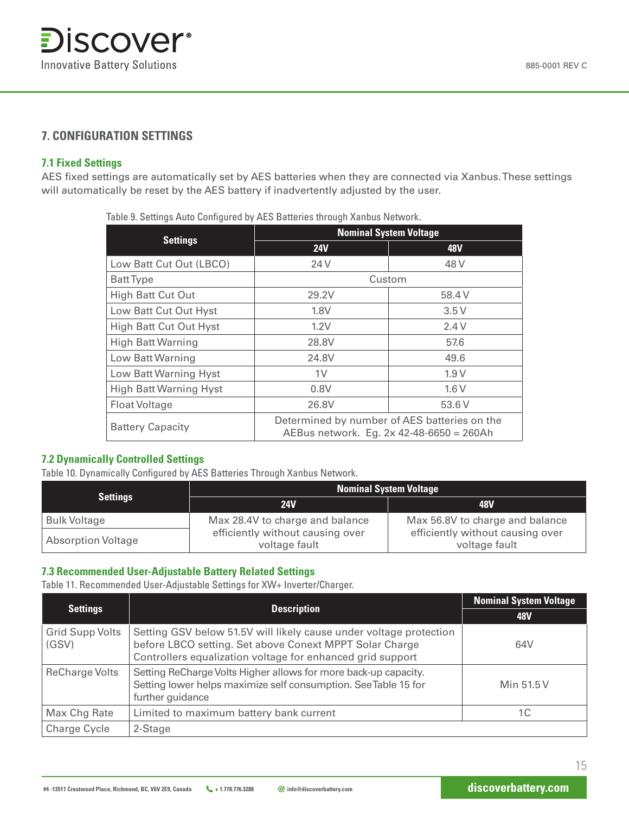#### **7. CONFIGURATION SETTINGS**

#### **7.1 Fixed Settings**

AES fixed settings are automatically set by AES batteries when they are connected via Xanbus. These settings will automatically be reset by the AES battery if inadvertently adjusted by the user.

Table 9. Settings Auto Configured by AES Batteries through Xanbus Network.

|                               | <b>Nominal System Voltage</b>                                                            |            |  |  |
|-------------------------------|------------------------------------------------------------------------------------------|------------|--|--|
| <b>Settings</b>               | <b>24V</b>                                                                               | <b>48V</b> |  |  |
| Low Batt Cut Out (LBCO)       | 24 V                                                                                     | 48 V       |  |  |
| <b>Batt Type</b>              | Custom                                                                                   |            |  |  |
| <b>High Batt Cut Out</b>      | 29.2V                                                                                    | 58.4 V     |  |  |
| Low Batt Cut Out Hyst         | 1.8V                                                                                     | 3.5V       |  |  |
| <b>High Batt Cut Out Hyst</b> | 1.2V                                                                                     | 2.4V       |  |  |
| <b>High Batt Warning</b>      | 28.8V                                                                                    | 57.6       |  |  |
| <b>Low Batt Warning</b>       | 24.8V                                                                                    | 49.6       |  |  |
| <b>Low Batt Warning Hyst</b>  | 1 <sup>V</sup>                                                                           | 1.9V       |  |  |
| <b>High Batt Warning Hyst</b> | 0.8V                                                                                     | 1.6V       |  |  |
| <b>Float Voltage</b>          | 26.8V                                                                                    | 53.6 V     |  |  |
| <b>Battery Capacity</b>       | Determined by number of AES batteries on the<br>AEBus network. Eg. 2x 42-48-6650 = 260Ah |            |  |  |

#### **7.2 Dynamically Controlled Settings**

Table 10. Dynamically Configured by AES Batteries Through Xanbus Network.

|                           | <b>Nominal System Voltage</b>                     |                                                   |  |  |
|---------------------------|---------------------------------------------------|---------------------------------------------------|--|--|
| <b>Settings</b>           | <b>24V</b>                                        | <b>48V</b>                                        |  |  |
| <b>Bulk Voltage</b>       | Max 28.4V to charge and balance                   | Max 56.8V to charge and balance                   |  |  |
| <b>Absorption Voltage</b> | efficiently without causing over<br>voltage fault | efficiently without causing over<br>voltage fault |  |  |

#### **7.3 Recommended User-Adjustable Battery Related Settings**

Table 11. Recommended User-Adjustable Settings for XW+ Inverter/Charger.

|                                 | <b>Description</b>                                                                                                                                                                          | <b>Nominal System Voltage</b> |  |
|---------------------------------|---------------------------------------------------------------------------------------------------------------------------------------------------------------------------------------------|-------------------------------|--|
| <b>Settings</b>                 |                                                                                                                                                                                             | 48V                           |  |
| <b>Grid Supp Volts</b><br>(GSV) | Setting GSV below 51.5V will likely cause under voltage protection<br>before LBCO setting. Set above Conext MPPT Solar Charge<br>Controllers equalization voltage for enhanced grid support | 64V                           |  |
| <b>ReCharge Volts</b>           | Setting ReCharge Volts Higher allows for more back-up capacity.<br>Setting lower helps maximize self consumption. See Table 15 for<br>further guidance                                      | Min 51.5 V                    |  |
| <b>Max Chg Rate</b>             | Limited to maximum battery bank current                                                                                                                                                     | 1C                            |  |
| <b>Charge Cycle</b>             | 2-Stage                                                                                                                                                                                     |                               |  |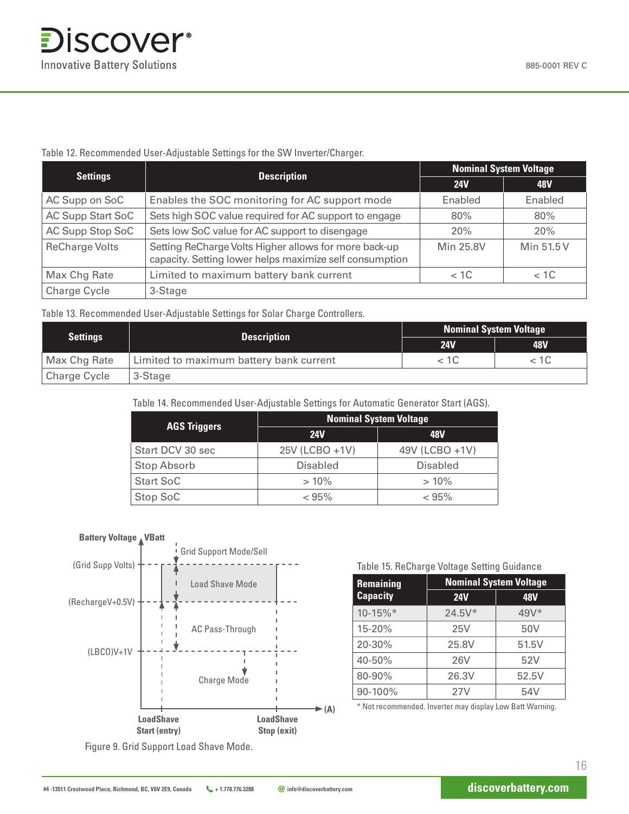#### Table 12. Recommended User-Adjustable Settings for the SW Inverter/Charger.

| <b>Settings</b>          | <b>Description</b>                                                                                               | <b>Nominal System Voltage</b> |                |  |
|--------------------------|------------------------------------------------------------------------------------------------------------------|-------------------------------|----------------|--|
|                          |                                                                                                                  | <b>24V</b>                    | 48V            |  |
| AC Supp on SoC           | Enables the SOC monitoring for AC support mode                                                                   | Enabled                       | <b>Enabled</b> |  |
| <b>AC Supp Start SoC</b> | Sets high SOC value required for AC support to engage                                                            | 80%                           | 80%            |  |
| <b>AC Supp Stop SoC</b>  | Sets low SoC value for AC support to disengage                                                                   | 20%                           | <b>20%</b>     |  |
| <b>ReCharge Volts</b>    | Setting ReCharge Volts Higher allows for more back-up<br>capacity. Setting lower helps maximize self consumption | <b>Min 25.8V</b>              | Min 51.5 V     |  |
| <b>Max Chg Rate</b>      | Limited to maximum battery bank current                                                                          | $<$ 1C                        | < 1C           |  |
| <b>Charge Cycle</b>      | 3-Stage                                                                                                          |                               |                |  |

Table 13. Recommended User-Adjustable Settings for Solar Charge Controllers.

|                     |                                         |            | <b>Nominal System Voltage</b> |  |  |
|---------------------|-----------------------------------------|------------|-------------------------------|--|--|
| <b>Settings</b>     | <b>Description</b>                      | <b>24V</b> | <b>48V</b>                    |  |  |
| <b>Max Chg Rate</b> | Limited to maximum battery bank current | < 1C       |                               |  |  |
| <b>Charge Cycle</b> | 3-Stage                                 |            |                               |  |  |

Table 14. Recommended User-Adjustable Settings for Automatic Generator Start (AGS).

|                     | <b>Nominal System Voltage</b> |                 |  |  |
|---------------------|-------------------------------|-----------------|--|--|
| <b>AGS Triggers</b> | <b>24V</b>                    | 48V             |  |  |
| Start DCV 30 sec    | 25V (LCBO +1V)                | 49V (LCBO +1V)  |  |  |
| <b>Stop Absorb</b>  | <b>Disabled</b>               | <b>Disabled</b> |  |  |
| <b>Start SoC</b>    | $>10\%$                       | $>10\%$         |  |  |
| <b>Stop SoC</b>     | $< 95\%$                      | < 95%           |  |  |



Table 15. ReCharge Voltage Setting Guidance

| <b>Remaining</b> | <b>Nominal System Voltage</b> |            |
|------------------|-------------------------------|------------|
| <b>Capacity</b>  | <b>24V</b>                    | <b>48V</b> |
| 10-15%*          | $24.5V*$                      | $49V*$     |
| 15-20%           | 25V                           | 50V        |
| 20-30%           | 25.8V                         | 51.5V      |
| 40-50%           | <b>26V</b>                    | 52V        |
| 80-90%           | 26.3V                         | 52.5V      |
| 90-100%          | 27V                           | 54V        |

\* Not recommended. Inverter may display Low Batt Warning.

Figure 9. Grid Support Load Shave Mode.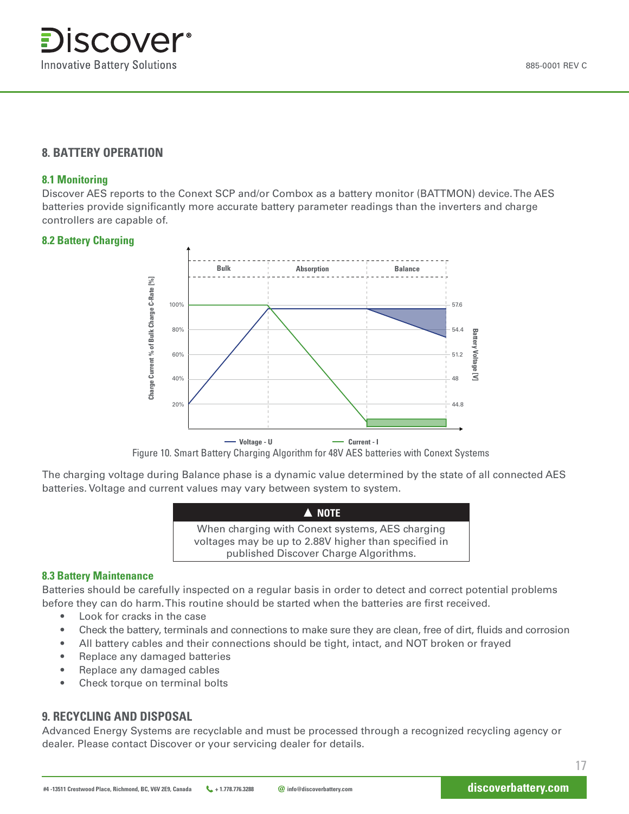885-0001 REV C

### **8. BATTERY OPERATION**

#### **8.1 Monitoring**

Discover AES reports to the Conext SCP and/or Combox as a battery monitor (BATTMON) device. The AES batteries provide significantly more accurate battery parameter readings than the inverters and charge controllers are capable of.

#### **8.2 Battery Charging**



Figure 10. Smart Battery Charging Algorithm for 48V AES batteries with Conext Systems

The charging voltage during Balance phase is a dynamic value determined by the state of all connected AES batteries. Voltage and current values may vary between system to system.

| A NOTE                                                                                                                                           |  |
|--------------------------------------------------------------------------------------------------------------------------------------------------|--|
| When charging with Conext systems, AES charging<br>voltages may be up to 2.88V higher than specified in<br>published Discover Charge Algorithms. |  |

#### **8.3 Battery Maintenance**

Batteries should be carefully inspected on a regular basis in order to detect and correct potential problems before they can do harm. This routine should be started when the batteries are first received.

- Look for cracks in the case
- Check the battery, terminals and connections to make sure they are clean, free of dirt, fluids and corrosion
- All battery cables and their connections should be tight, intact, and NOT broken or frayed
- Replace any damaged batteries
- Replace any damaged cables
- Check torque on terminal bolts

#### **9. RECYCLING AND DISPOSAL**

Advanced Energy Systems are recyclable and must be processed through a recognized recycling agency or dealer. Please contact Discover or your servicing dealer for details.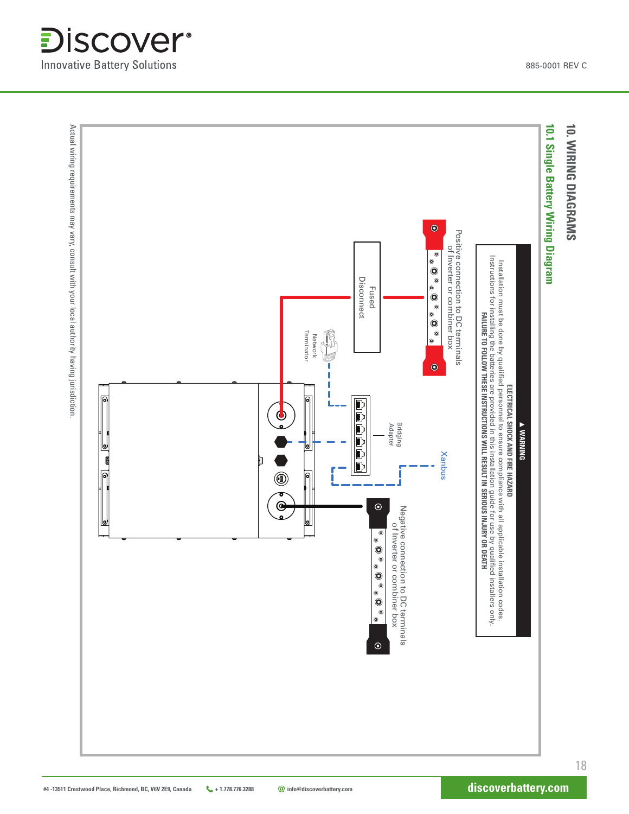**Innovative Battery Solutions** 

**Discover**®

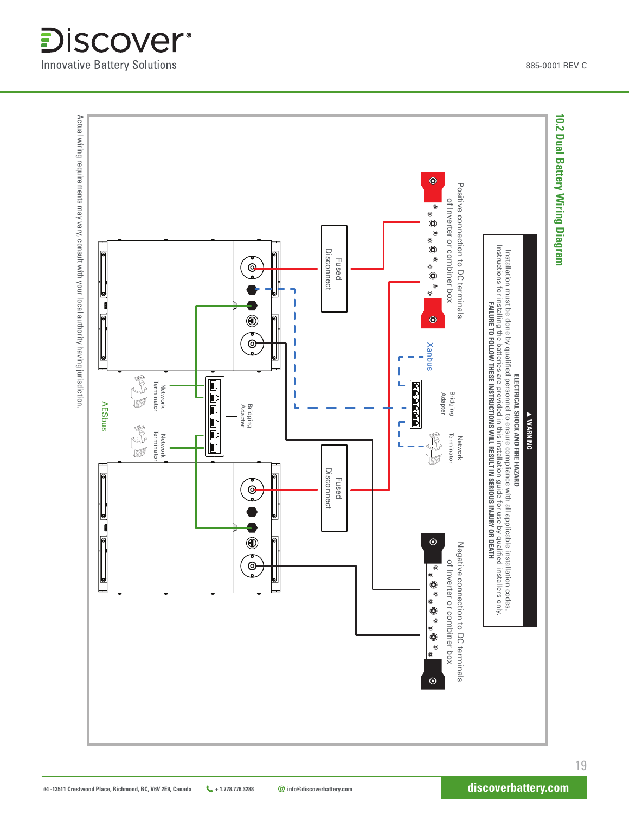**Innovative Battery Solutions** 

*<u>Discover</u>*